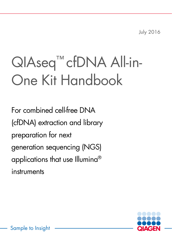July 2016

# QIAseq™ cfDNA All-in-One Kit Handbook

For combined cell-free DNA (cfDNA) extraction and library preparation for next generation sequencing (NGS) applications that use Illumina® instruments

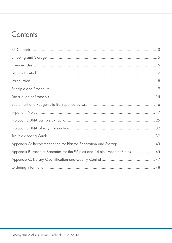# Contents

| Appendix A: Recommendation for Plasma Separation and Storage  43           |  |
|----------------------------------------------------------------------------|--|
| Appendix B: Adapter Barcodes for the 96-plex and 24-plex Adapter Plates 45 |  |
|                                                                            |  |
|                                                                            |  |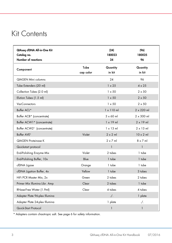# <span id="page-2-0"></span>Kit Contents

| QIAseq cfDNA All-in-One Kit<br>Catalog no.<br><b>Number of reactions</b> |                   | (24)<br>180023<br>24 | (96)<br>180025<br>96 |
|--------------------------------------------------------------------------|-------------------|----------------------|----------------------|
| Component                                                                | Tube<br>cap color | Quantity<br>in kit   | Quantity<br>in kit   |
| <b>QIAGEN Mini columns</b>                                               |                   | 24                   | 96                   |
| Tube Extenders (20 ml)                                                   |                   | $1 \times 25$        | $4 \times 25$        |
| Collection Tubes (2.0 ml)                                                |                   | $1 \times 50$        | $2 \times 50$        |
| Elution Tubes (1.5 ml)                                                   |                   | $1 \times 50$        | $2 \times 50$        |
| <b>VacConnectors</b>                                                     |                   | $1 \times 50$        | $2 \times 50$        |
| Buffer ACL*                                                              |                   | $1 \times 110$ ml    | $2 \times 220$ ml    |
| Buffer ACB* (concentrate)                                                |                   | $3 \times 60$ ml     | $2 \times 300$ ml    |
| Buffer ACW1* (concentrate)                                               |                   | $1 \times 19$ ml     | $2 \times 19$ ml     |
| Buffer ACW2 <sup>†</sup> (concentrate)                                   |                   | $1 \times 13$ ml     | $2 \times 13$ ml     |
| Buffer AVE <sup>t</sup>                                                  | Violet            | $2 \times 2$ ml      | $10 \times 2$ ml     |
| <b>QIAGEN Proteinase K</b>                                               |                   | $2 \times 7$ ml      | $8 \times 7$ ml      |
| Quickstart protocol                                                      |                   | $\mathbf{1}$         | $\mathbf{1}$         |
| End-Polishing Enzyme Mix                                                 | Violet            | 2 tubes              | 1 tube               |
| End-Polishing Buffer, 10x                                                | Blue              | 1 tube               | 1 tube               |
| cfDNA Ligase                                                             | Orange            | 1 tube               | 1 tube               |
| cfDNA Ligation Buffer, 4x                                                | Yellow            | 1 tube               | 3 tubes              |
| HiFi PCR Master Mix, 2x                                                  | Green             | 2 tubes              | 2 tubes              |
| Primer Mix Illumina Libr. Amp                                            | Clear             | 2 tubes              | 1 tube               |
| RNase-Free Water (1.9ml)                                                 | Clear             | 4 tubes              | 4 tubes              |
| Adapter Plate 96-plex Illumina                                           |                   | $.$ / $.$            | 1 plate              |
| Adapter Plate 24-plex Illumina                                           |                   | 1 plate              | $. /$ .              |
| Quick-Start Protocol                                                     |                   | 1                    | $\mathbf{1}$         |

\* Adapters contain chaotropic salt. See page 6 for safety information.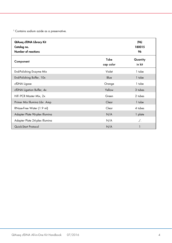† Contains sodium azide as a preservative.

| QIAseq cfDNA Library Kit<br>Catalog no.<br>Number of reactions |                   | (96)<br>180015<br>96 |
|----------------------------------------------------------------|-------------------|----------------------|
| Component                                                      | Tube<br>cap color | Quantity<br>in kit   |
| End-Polishing Enzyme Mix                                       | Violet            | 1 tube               |
| End-Polishing Buffer, 10x                                      | Blue              | 1 tube               |
| cfDNA Ligase                                                   | Orange            | 1 tube               |
| cfDNA Ligation Buffer, 4x                                      | Yellow            | 3 tubes              |
| HiFi PCR Master Mix, 2x                                        | Green             | 2 tubes              |
| Primer Mix Illumina Libr. Amp                                  | Clear             | 1 tube               |
| RNase-Free Water (1.9 ml)                                      | Clear             | 4 tubes              |
| Adapter Plate 96-plex Illumina                                 | N/A               | 1 plate              |
| Adapter Plate 24-plex Illumina                                 | N/A               | $\Lambda$ .          |
| Quick-Start Protocol                                           | N/A               |                      |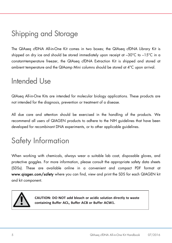# <span id="page-4-0"></span>Shipping and Storage

The QIAseq cfDNA All-in-One Kit comes in two boxes; the QIAseq cfDNA Library Kit is shipped on dry ice and should be stored immediately upon receipt at –30°C to –15°C in a constant-temperature freezer, the QIAseq cfDNA Extraction Kit is shipped and stored at ambient temperature and the QIAamp Mini columns should be stored at 4°C upon arrival.

# <span id="page-4-1"></span>Intended Use

QIAseq All-in-One Kits are intended for molecular biology applications. These products are not intended for the diagnosis, prevention or treatment of a disease.

All due care and attention should be exercised in the handling of the products. We recommend all users of QIAGEN products to adhere to the NIH guidelines that have been developed for recombinant DNA experiments, or to other applicable guidelines.

# Safety Information

When working with chemicals, always wear a suitable lab coat, disposable gloves, and protective goggles. For more information, please consult the appropriate safety data sheets (SDSs). These are available online in a convenient and compact PDF format at www.qiagen.com/safety where you can find, view and print the SDS for each QIAGEN kit and kit component.



CAUTION: DO NOT add bleach or acidic solution directly to waste containing Buffer ACL, Buffer ACB or Buffer ACW1.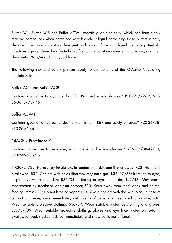Buffer ACL, Buffer ACB and Buffer ACW1 contain guanidine salts, which can form highly reactive compounds when combined with bleach. If liquid containing these buffers is spilt, clean with suitable laboratory detergent and water. If the spilt liquid contains potentially infectious agents, clean the affected area first with laboratory detergent and water, and then clean with 1% (v/v) sodium hypochlorite.

The following risk and safety phrases apply to components of the QIAamp Circulating Nucleic Acid Kit.

#### Buffer ACL and Buffer ACB

Contains guanidine thiocyanate: harmful. Risk and safety phrases:\* R20/21/22-32, S13- 26-36/37/39-46

#### Buffer ACW1

Contains guanidine hydrochloride: harmful, irritant. Risk and safety phrases:\* R22-36/38, S13-26-36-46

#### QIAGEN Proteinase K

Contains proteinase K: sensitizer, irritant. Risk and safety phrases:\* R36/37/38-42/43, S23-24-26-36/37

\* R20/21/22: Harmful by inhalation, in contact with skin and if swallowed; R22: Harmful if swallowed; R32: Contact with acids liberates very toxic gas; R36/37/38: Irritating to eyes, respiratory system and skin; R36/38: Irritating to eyes and skin; R42/43: May cause sensitization by inhalation and skin contact; S13: Keep away from food, drink and animal feeding items; S23: Do not breathe vapor; S24: Avoid contact with the skin; S26: In case of contact with eyes, rinse immediately with plenty of water and seek medical advice; S36: Wear suitable protective clothing; S36/37: Wear suitable protective clothing and gloves; S36/37/39: Wear suitable protective clothing, gloves and eye/face protection; S46: If swallowed, seek medical advice immediately and show container or label.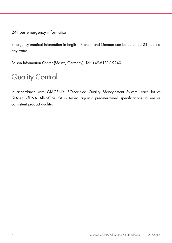### 24-hour emergency information

Emergency medical information in English, French, and German can be obtained 24 hours a day from:

Poison Information Center (Mainz, Germany), Tel: +49-6131-19240

# <span id="page-6-0"></span>Quality Control

In accordance with QIAGEN's ISO-certified Quality Management System, each lot of QIAseq cfDNA All-in-One Kit is tested against predetermined specifications to ensure consistent product quality.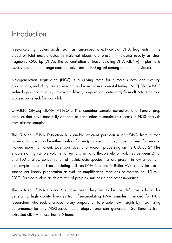# <span id="page-7-0"></span>**Introduction**

Free-circulating nucleic acids, such as tumor-specific extracellular DNA fragments in the blood or fetal nucleic acids in maternal blood, are present in plasma usually as short fragments <500 bp (DNA). The concentration of free-circulating DNA (cfDNA) in plasma is usually low and can range considerably from 1–100 ng/ml among different individuals.

Next-generation sequencing (NGS) is a driving force for numerous new and exciting applications, including cancer research and non-invasive prenatal testing (NIPT). While NGS technology is continuously improving, library preparation particularly from cfDNA remains a process bottleneck for many labs.

QIAGEN QIAseq cfDNA All-in-One Kits combine sample extraction and library prep modules that have been fully adapted to each other to maximize success in NGS analysis from plasma samples.

The QIAseq cfDNA Extraction Kits enable efficient purification of cfDNA from human plasma. Samples can be either fresh or frozen (provided that they have not been frozen and thawed more than once). Extension tubes and vacuum processing on the QIAvac 24 Plus enable starting sample volumes of up to 5 ml, and flexible elution volumes between 20 µl and 100 µl allow concentration of nucleic acid species that are present in low amounts in the sample material. Free-circulating cell-free DNA is eluted in Buffer AVE, ready for use in subsequent library preparation as well as amplification reactions or storage at  $-15$  to  $-$ 30°C. Purified nucleic acids are free of proteins, nucleases and other impurities.

The QIAseq cfDNA Library Kits have been designed to be the definitive solution for generating high quality libraries from free-circulating DNA samples. Intended for NGS researchers who seek a unique library preparation to enable new insights by maximizing performance for any NGS-based liquid biopsy, one can generate NGS libraries from extracted cfDNA in less than 2.5 hours.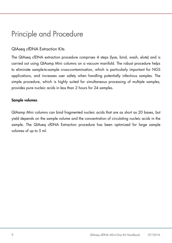# <span id="page-8-0"></span>Principle and Procedure

### QIAseq cfDNA Extraction Kits

The QIAseq cfDNA extraction procedure comprises 4 steps (lyse, bind, wash, elute) and is carried out using QIAamp Mini columns on a vacuum manifold. The robust procedure helps to eliminate sample-to-sample cross-contamination, which is particularly important for NGS applications, and increases user safety when handling potentially infectious samples. The simple procedure, which is highly suited for simultaneous processing of multiple samples, provides pure nucleic acids in less than 2 hours for 24 samples.

#### Sample volumes

QIAamp Mini columns can bind fragmented nucleic acids that are as short as 20 bases, but yield depends on the sample volume and the concentration of circulating nucleic acids in the sample. The QIAseq cfDNA Extraction procedure has been optimized for large sample volumes of up to 5 ml.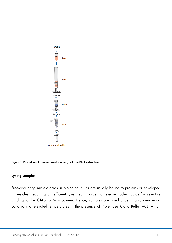

Figure 1: Procedure of column-based manual, cell-free DNA extraction.

#### Lysing samples

Free-circulating nucleic acids in biological fluids are usually bound to proteins or enveloped in vesicles, requiring an efficient lysis step in order to release nucleic acids for selective binding to the QIAamp Mini column. Hence, samples are lysed under highly denaturing conditions at elevated temperatures in the presence of Proteinase K and Buffer ACL, which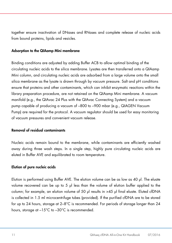together ensure inactivation of DNases and RNases and complete release of nucleic acids from bound proteins, lipids and vesicles.

#### Adsorption to the QIAamp Mini membrane

Binding conditions are adjusted by adding Buffer ACB to allow optimal binding of the circulating nucleic acids to the silica membrane. Lysates are then transferred onto a QIAamp Mini column, and circulating nucleic acids are adsorbed from a large volume onto the small silica membrane as the lysate is drawn through by vacuum pressure. Salt and pH conditions ensure that proteins and other contaminants, which can inhibit enzymatic reactions within the library preparation procedure, are not retained on the QIAamp Mini membrane. A vacuum manifold (e.g., the QIAvac 24 Plus with the QIAvac Connecting System) and a vacuum pump capable of producing a vacuum of –800 to –900 mbar (e.g., QIAGEN Vacuum Pump) are required for the protocol. A vacuum regulator should be used for easy monitoring of vacuum pressures and convenient vacuum release.

#### Removal of residual contaminants

Nucleic acids remain bound to the membrane, while contaminants are efficiently washed away during three wash steps. In a single step, highly pure circulating nucleic acids are eluted in Buffer AVE and equilibrated to room temperature.

#### Elution of pure nucleic acids

Elution is performed using Buffer AVE. The elution volume can be as low as 40 µl. The eluate volume recovered can be up to 5 µl less than the volume of elution buffer applied to the column; for example, an elution volume of 50 ul results in >45 ul final eluate. Eluted cfDNA is collected in 1.5 ml microcentrifuge tubes (provided). If the purified cfDNA are to be stored for up to 24 hours, storage at  $2-8^{\circ}$ C is recommended. For periods of storage longer than 24 hours, storage at  $-15^{\circ}$ C to  $-30^{\circ}$ C is recommended.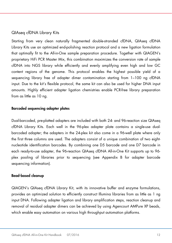### QIAseq cfDNA Library Kits

Starting from very clean naturally fragmented double-stranded cfDNA, QIAseq cfDNA Library Kits use an optimized end-polishing reaction protocol and a new ligation formulation that optimally fit to the All-in-One sample preparation procedure. Together with QIAGEN's proprietary HiFi PCR Master Mix, this combination maximizes the conversion rate of sample cfDNA into NGS library while efficiently and evenly amplifying even high and low GC content regions of the genome. This protocol enables the highest possible yield of a sequencing library free of adapter dimer contamination starting from 1–100 ng cfDNA input. Due to the kit's flexible protocol, the same kit can also be used for higher DNA input amounts. Highly efficient adapter ligation chemistries enable PCR-free library preparation from as little as 10 ng.

#### Barcoded sequencing adapter plates

Dual-barcoded, pre-platted adapters are included with both 24- and 96-reaction size QIAseq cfDNA Library Kits. Each well in the 96-plex adapter plate contains a single-use dualbarcoded adapter; the adapters in the 24-plex kit also come in a 96-well plate where only the first three columns are used. The adapters consist of a unique combination of two eightnucleotide identification barcodes. By combining one D5 barcode and one D7 barcode in each ready-to-use adapter, the 96-reaction QIAseq cfDNA All-in-One Kit supports up to 96 plex pooling of libraries prior to sequencing (see Appendix B for adapter barcode sequencing information).

#### Bead-based cleanup

QIAGEN's QIAseq cfDNA Library Kit, with its innovative buffer and enzyme formulations, provides an optimized solution to efficiently construct Illumina libraries from as little as 1 ng input DNA. Following adapter ligation and library amplification steps, reaction cleanup and removal of residual adapter dimers can be achieved by using Agencourt AMPure XP beads, which enable easy automation on various high throughput automation platforms.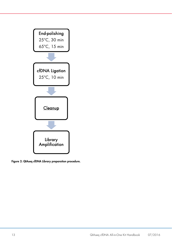

f

Figure 2: QIAseq cfDNA Library preparation procedure.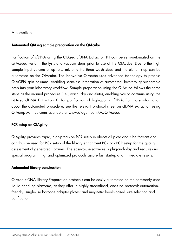#### Automation

#### Automated QIAseq sample preparation on the QIAcube

Purification of cfDNA using the QIAseq cfDNA Extraction Kit can be semi-automated on the QIAcube. Perform the lysis and vacuum steps prior to use of the QIAcube. Due to the high sample input volume of up to 5 ml, only the three wash steps and the elution step can be automated on the QIAcube. The innovative QIAcube uses advanced technology to process QIAGEN spin columns, enabling seamless integration of automated, low-throughput sample prep into your laboratory workflow. Sample preparation using the QIAcube follows the same steps as the manual procedure (i.e., wash, dry and elute), enabling you to continue using the QIAseq cfDNA Extraction Kit for purification of high-quality cfDNA. For more information about the automated procedure, see the relevant protocol sheet on cfDNA extraction using QIAamp Mini columns available at [www.qiagen.com/MyQIAcube.](http://www.qiagen.com/MyQIAcube)

#### PCR setup on QIAgility

QIAgility provides rapid, high-precision PCR setup in almost all plate and tube formats and can thus be used for PCR setup of the library enrichment PCR or qPCR setup for the quality assessment of generated libraries. The easy-to-use software is plug-and-play and requires no special programming, and optimized protocols assure fast startup and immediate results.

#### Automated library construction

QIAseq cfDNA Library Preparation protocols can be easily automated on the commonly used liquid handling platforms, as they offer: a highly streamlined, one-tube protocol; automationfriendly, single-use barcode adapter plates; and magnetic beads-based size selection and purification.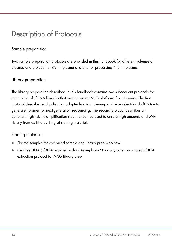# <span id="page-14-0"></span>Description of Protocols

### Sample preparation

Two sample preparation protocols are provided in this handbook for different volumes of plasma: one protocol for ≤3 ml plasma and one for processing 4–5 ml plasma.

### Library preparation

The library preparation described in this handbook contains two subsequent protocols for generation of cfDNA libraries that are for use on NGS platforms from Illumina. The first protocol describes end polishing, adapter ligation, cleanup and size selection of cfDNA – to generate libraries for next-generation sequencing. The second protocol describes an optional, high-fidelity amplification step that can be used to ensure high amounts of cfDNA library from as little as 1 ng of starting material.

### Starting materials

- Plasma samples for combined sample and library prep workflow
- Cell-free DNA (cfDNA) isolated with QIAsymphony SP or any other automated cfDNA extraction protocol for NGS library prep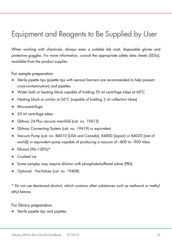# <span id="page-15-0"></span>Equipment and Reagents to Be Supplied by User

When working with chemicals, always wear a suitable lab coat, disposable gloves and protective goggles. For more information, consult the appropriate safety data sheets (SDSs), available from the product supplier.

For sample preparation

- Sterile pipette tips (pipette tips with aerosol barriers are recommended to help prevent cross-contamination) and pipettes
- Water bath or heating block capable of holding 50 ml centrifuge tubes at 60°C
- Heating block or similar at 56°C (capable of holding 2 ml collection tubes)
- **•** Microcentrifuge
- 50 ml centrifuge tubes
- QIAvac 24 Plus vacuum manifold (cat. no. 19413)
- QIAvac Connecting System (cat. no. 19419) or equivalent
- Vacuum Pump (cat. no. 84010 [USA and Canada], 84000 [Japan] or 84020 [rest of world]) or equivalent pump capable of producing a vacuum of –800 to –900 mbar
- Ethanol (96–100%)\*
- Crushed ice
- Some samples may require dilution with phosphate-buffered saline (PBS)
- Optional: VacValves (cat. no. 19408)

\* Do not use denatured alcohol, which contains other substances such as methanol or methyl ethyl ketone.

For library preparation

Sterile pipette tips and pipettes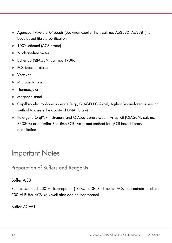- Agencourt AMPure XP beads (Beckman Coulter Inc., cat. no. A63880, A63881) for bead-based library purification
- 100% ethanol (ACS grade)
- Nuclease-free water
- Buffer EB (QIAGEN, cat. no. 19086)
- PCR tubes or plates
- Vortexer
- Microcentrifuge
- Thermocycler
- Magnetic stand
- Capillary electrophoresis device (e.g., QIAGEN QIAxcel, Agilent Bioanalyzer or similar method to assess the quality of DNA library)
- Rotorgene Q qPCR instrument and QIAseq Library Quant Array Kit (QIAGEN, cat. no. 333304) or a similar Real-time PCR cycler and method for qPCR-based library quantitation

# <span id="page-16-0"></span>Important Notes

Preparation of Buffers and Reagents

### Buffer ACB

Before use, add 200 ml isopropanol (100%) to 300 ml buffer ACB concentrate to obtain 500 ml Buffer ACB. Mix well after adding isopropanol.

Buffer ACW1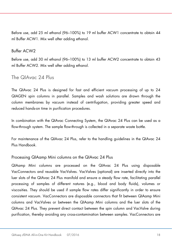Before use, add 25 ml ethanol (96–100%) to 19 ml buffer ACW1 concentrate to obtain 44 ml Buffer ACW1. Mix well after adding ethanol.

### Buffer ACW2

Before use, add 30 ml ethanol (96–100%) to 13 ml buffer ACW2 concentrate to obtain 43 ml Buffer ACW2. Mix well after adding ethanol.

### The QIAvac 24 Plus

The QIAvac 24 Plus is designed for fast and efficient vacuum processing of up to 24 QIAGEN spin columns in parallel. Samples and wash solutions are drawn through the column membranes by vacuum instead of centrifugation, providing greater speed and reduced hands-on time in purification procedures.

In combination with the QIAvac Connecting System, the QIAvac 24 Plus can be used as a flow-through system. The sample flow-through is collected in a separate waste bottle.

For maintenance of the QIAvac 24 Plus, refer to the handling guidelines in the QIAvac 24 Plus Handbook.

#### Processing QIAamp Mini columns on the QIAvac 24 Plus

QIAamp Mini columns are processed on the QIAvac 24 Plus using disposable VacConnectors and reusable VacValves. VacValves (optional) are inserted directly into the luer slots of the QIAvac 24 Plus manifold and ensure a steady flow rate, facilitating parallel processing of samples of different natures (e.g., blood and body fluids), volumes or viscosities. They should be used if sample flow rates differ significantly in order to ensure consistent vacuum. VacConnectors are disposable connectors that fit between QIAamp Mini columns and VacValves or between the QIAamp Mini columns and the luer slots of the QIAvac 24 Plus. They prevent direct contact between the spin column and VacValve during purification, thereby avoiding any cross-contamination between samples. VacConnectors are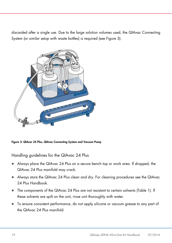discarded after a single use. Due to the large solution volumes used, the QIAvac Connecting System (or similar setup with waste bottles) is required (see Figure 3).



Figure 3: QIAcac 24 Plus, QIAvac Connecting System and Vacuum Pump

Handling guidelines for the QIAvac 24 Plus

- Always place the QIAvac 24 Plus on a secure bench top or work area. If dropped, the QIAvac 24 Plus manifold may crack.
- Always store the QIAvac 24 Plus clean and dry. For cleaning procedures see the QIAvac 24 Plus Handbook.
- The components of the QIAvac 24 Plus are not resistant to certain solvents (Table 1). If these solvents are spilt on the unit, rinse unit thoroughly with water.
- To ensure consistent performance, do not apply silicone or vacuum grease to any part of the QIAvac 24 Plus manifold.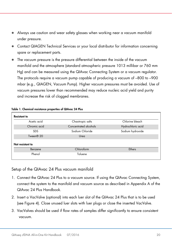- Always use caution and wear safety glasses when working near a vacuum manifold under pressure.
- Contact QIAGEN Technical Services or your local distributor for information concerning spare or replacement parts.
- The vacuum pressure is the pressure differential between the inside of the vacuum manifold and the atmosphere (standard atmospheric pressure 1013 millibar or 760 mm Hg) and can be measured using the QIAvac Connecting System or a vacuum regulator. The protocols require a vacuum pump capable of producing a vacuum of –800 to –900 mbar (e.g., QIAGEN, Vacuum Pump). Higher vacuum pressures must be avoided. Use of vacuum pressures lower than recommended may reduce nucleic acid yield and purity and increase the risk of clogged membranes.

| <b>Resistant to</b>   |                       |                   |
|-----------------------|-----------------------|-------------------|
| Acetic acid           | Chaotropic salts      | Chlorine bleach   |
| Chromic acid          | Concentrated alcohols | Hydrochloric acid |
| <b>SDS</b>            | Sodium Chloride       | Sodium hydroxide  |
| Tween <sup>®</sup> 20 | Urea                  |                   |
| Not resistant to      |                       |                   |
| Benzene               | Chloroform            | Ethers            |
| Phenol                | Toluene               |                   |

#### Table 1. Chemical resistance properties of QIAvac 24 Plus

### Setup of the QIAvac 24 Plus vacuum manifold

- 1. Connect the QIAvac 24 Plus to a vacuum source. If using the QIAvac Connecting System, connect the system to the manifold and vacuum source as described in Appendix A of the QIAvac 24 Plus Handbook.
- 2. Insert a VacValve (optional) into each luer slot of the QIAvac 24 Plus that is to be used (see Figure 4). Close unused luer slots with luer plugs or close the inserted VacValve.
- 3. VacValves should be used if flow rates of samples differ significantly to ensure consistent vacuum.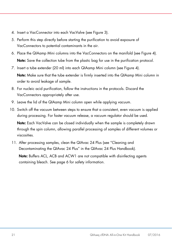- 4. Insert a VacConnector into each VacValve (see Figure 3).
- 5. Perform this step directly before starting the purification to avoid exposure of VacConnectors to potential contaminants in the air.
- 6. Place the QIAamp Mini columns into the VacConnectors on the manifold (see Figure 4). Note: Save the collection tube from the plastic bag for use in the purification protocol.
- 7. Insert a tube extender (20 ml) into each QIAamp Mini column (see Figure 4).

Note: Make sure that the tube extender is firmly inserted into the QIAamp Mini column in order to avoid leakage of sample.

- 8. For nucleic acid purification, follow the instructions in the protocols. Discard the VacConnectors appropriately after use.
- 9. Leave the lid of the QIAamp Mini column open while applying vacuum.
- 10. Switch off the vacuum between steps to ensure that a consistent, even vacuum is applied during processing. For faster vacuum release, a vacuum regulator should be used. Note: Each VacValve can be closed individually when the sample is completely drawn through the spin column, allowing parallel processing of samples of different volumes or viscosities.
- 11. After processing samples, clean the QIAvac 24 Plus (see "Cleaning and Decontaminating the QIAvac 24 Plus" in the QIAvac 24 Plus Handbook).

Note: Buffers ACL, ACB and ACW1 are not compatible with disinfecting agents containing bleach. See page 6 for safety information.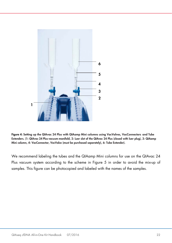

Figure 4: Setting up the QIAvac 24 Plus with QIAamp Mini columns using VacValves, VacConnectors and Tube Extenders. (1: QIAvac 24 Plus vacuum manifold, 2: Luer slot of the QIAvac 24 Plus (closed with luer plug), 3: QIAamp Mini column, 4: VacConnector, VacValce (must be purchased separately), 6: Tube Extender).

We recommend labeling the tubes and the QIAamp Mini columns for use on the QIAvac 24 Plus vacuum system according to the scheme in Figure 5 in order to avoid the mix-up of samples. This figure can be photocopied and labeled with the names of the samples.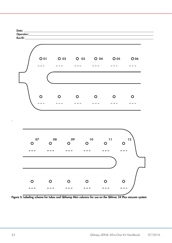

Figure 5: Labeling scheme for tubes and QIAamp Mini columns for use on the QIAvac 24 Plus vacuum system

.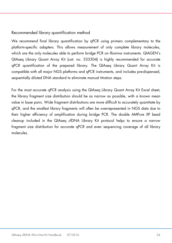### Recommended library quantification method

We recommend final library quantification by aPCR using primers complementary to the platform-specific adapters. This allows measurement of only complete library molecules, which are the only molecules able to perform bridge PCR on Illumina instruments. QIAGEN's QIAseq Library Quant Array Kit (cat. no. 333304) is highly recommended for accurate qPCR quantification of the prepared library. The QIAseq Library Quant Array Kit is compatible with all major NGS platforms and qPCR instruments, and includes pre-dispensed, sequentially diluted DNA standard to eliminate manual titration steps.

For the most accurate qPCR analysis using the QIAseq Library Quant Array Kit Excel sheet, the library fragment size distribution should be as narrow as possible, with a known mean value in base pairs. Wide fragment distributions are more difficult to accurately quantitate by qPCR, and the smallest library fragments will often be overrepresented in NGS data due to their higher efficiency of amplification during bridge PCR. The double AMPure XP bead cleanup included in the QIAseq cfDNA Library Kit protocol helps to ensure a narrow fragment size distribution for accurate qPCR and even sequencing coverage of all library molecules.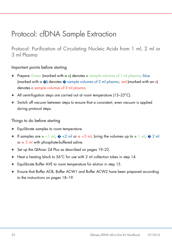# <span id="page-24-0"></span>Protocol: cfDNA Sample Extraction

Protocol: Purification of Circulating Nucleic Acids from 1 ml, 2 ml or 3 ml Plasma

### Important points before starting

- Prepare Green (marked with a ■) denotes sample volumes of 1 ml plasma; blue (marked with a  $\odot$ ) denotes  $\odot$  sample volumes of 2 ml plasma; red (marked with an e) denotes e sample volumes of 3 ml plasma.
- All centrifugation steps are carried out at room temperature (15–25°C).
- Switch off vacuum between steps to ensure that a consistent, even vacuum is applied during protocol steps.

Things to do before starting

- Equilibrate samples to room temperature.
- $\bullet$  If samples are  $\bullet$  <1 ml,  $\bullet$  <2 ml or e <3 ml, bring the volumes up to  $\bullet$  1 ml,  $\bullet$  2 ml or e 3 ml with phosphate-buffered saline.
- Set up the QIAvac 24 Plus as described on pages 19–22.
- Heat a heating block to 56°C for use with 2 ml collection tubes in step 14.
- Equilibrate Buffer AVE to room temperature for elution in step 15.
- Ensure that Buffer ACB, Buffer ACW1 and Buffer ACW2 have been prepared according to the instructions on pages 18–19.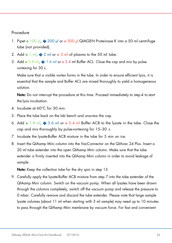#### Procedure

- 1. Pipet 100 µl, � 200 µl or e 300 µl QIAGEN Proteinase K into a 50 ml centrifuge tube (not provided).
- 2. Add  $\blacksquare$  1 ml,  $\spadesuit$  2 ml or e 3 ml of plasma to the 50 ml tube.
- 3. Add  $\blacksquare$  0.8 ml,  $\clubsuit$  1.6 ml or e 2.4 ml Buffer ACL. Close the cap and mix by pulsevortexing for 30 s.

Make sure that a visible vortex forms in the tube. In order to ensure efficient lysis, it is essential that the sample and Buffer ACL are mixed thoroughly to yield a homogeneous solution.

Note: Do not interrupt the procedure at this time. Proceed immediately to step 4 to start the lysis incubation.

- 4. Incubate at 60°C for 30 min.
- 5. Place the tube back on the lab bench and unscrew the cap.
- 6. Add  $\blacksquare$  1.8 ml,  $\clubsuit$  3.6 ml or e 5.4 ml Buffer ACB to the lysate in the tube. Close the cap and mix thoroughly by pulse-vortexing for 15–30 s.
- 7. Incubate the lysate-Buffer ACB mixture in the tube for 5 min on ice.
- 8. Insert the QIAamp Mini column into the VacConnector on the QIAvac 24 Plus. Insert a 20 ml tube extender into the open QIAamp Mini column. Make sure that the tube extender is firmly inserted into the QIAamp Mini column in order to avoid leakage of sample.

Note: Keep the collection tube for the dry spin in step 13.

9. Carefully apply the lysate-Buffer ACB mixture from step 7 into the tube extender of the QIAamp Mini column. Switch on the vacuum pump. When all lysates have been drawn through the columns completely, switch off the vacuum pump and release the pressure to 0 mbar. Carefully remove and discard the tube extender. Please note that large sample lysate volumes (about 11 ml when starting with 3 ml sample) may need up to 10 minutes to pass through the QIAamp Mini membrane by vacuum force. For fast and convenient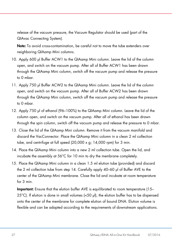release of the vacuum pressure, the Vacuum Regulator should be used (part of the QIAvac Connecting System).

Note: To avoid cross-contamination, be careful not to move the tube extenders over neighboring QIAamp Mini columns.

- 10. Apply 600 µl Buffer ACW1 to the QIAamp Mini column. Leave the lid of the column open, and switch on the vacuum pump. After all of Buffer ACW1 has been drawn through the QIAamp Mini column, switch off the vacuum pump and release the pressure to 0 mbar.
- 11. Apply 750 µl Buffer ACW2 to the QIAamp Mini column. Leave the lid of the column open, and switch on the vacuum pump. After all of Buffer ACW2 has been drawn through the QIAamp Mini column, switch off the vacuum pump and release the pressure to 0 mbar.
- 12. Apply 750 µl of ethanol (96–100%) to the QIAamp Mini column. Leave the lid of the column open, and switch on the vacuum pump. After all of ethanol has been drawn through the spin column, switch off the vacuum pump and release the pressure to 0 mbar.
- 13. Close the lid of the QIAamp Mini column. Remove it from the vacuum manifold and discard the VacConnector. Place the QIAamp Mini column in a clean 2 ml collection tube, and centrifuge at full speed (20,000 x g; 14,000 rpm) for 3 min.
- 14. Place the QIAamp Mini column into a new 2 ml collection tube. Open the lid, and incubate the assembly at 56°C for 10 min to dry the membrane completely.
- 15. Place the QIAamp Mini column in a clean 1.5 ml elution tube (provided) and discard the 2 ml collection tube from step 14. Carefully apply 40–60 µl of Buffer AVE to the center of the QIAamp Mini membrane. Close the lid and incubate at room temperature for 3 min.

Important: Ensure that the elution buffer AVE is equilibrated to room temperature (15– 25 $^{\circ}$ C). If elution is done in small volumes (<50 µl), the elution buffer has to be dispensed onto the center of the membrane for complete elution of bound DNA. Elution volume is flexible and can be adapted according to the requirements of downstream applications.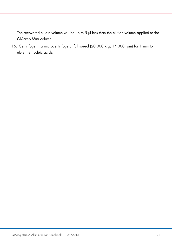The recovered eluate volume will be up to 5 µl less than the elution volume applied to the QIAamp Mini column.

16. Centrifuge in a microcentrifuge at full speed (20,000 x g; 14,000 rpm) for 1 min to elute the nucleic acids.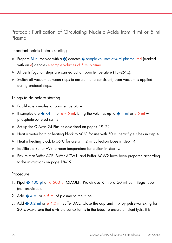### Protocol: Purification of Circulating Nucleic Acids from 4 ml or 5 ml Plasma

### Important points before starting

- Prepare Blue (marked with a  $\odot$ ) denotes  $\odot$  sample volumes of 4 ml plasma; red (marked with an e) denotes e sample volumes of 5 ml plasma.
- All centrifugation steps are carried out at room temperature (15–25°C).
- Switch off vacuum between steps to ensure that a consistent, even vacuum is applied during protocol steps.

#### Things to do before starting

- Equilibrate samples to room temperature.
- If samples are  $\diamondsuit$  <4 ml or e < 5 ml, bring the volumes up to  $\diamondsuit$  4 ml or e 5 ml with phosphate-buffered saline.
- Set up the QIAvac 24 Plus as described on pages 19–22.
- $\bullet$  Heat a water bath or heating block to 60°C for use with 50 ml centrifuge tubes in step 4.
- Heat a heating block to 56°C for use with 2 ml collection tubes in step 14.
- Equilibrate Buffer AVE to room temperature for elution in step 15.
- Ensure that Buffer ACB, Buffer ACW1, and Buffer ACW2 have been prepared according to the instructions on page 18–19.

#### Procedure

- 1. Pipet  $\triangle$  400 µl or e 500 µl QIAGEN Proteinase K into a 50 ml centrifuge tube (not provided).
- 2. Add  $\bigcirc$  4 ml or e 5 ml of plasma to the tube.
- 3. Add  $\bullet$  3.2 ml or e 4.0 ml Buffer ACL. Close the cap and mix by pulse-vortexing for 30 s. Make sure that a visible vortex forms in the tube. To ensure efficient lysis, it is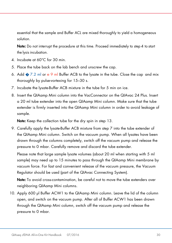essential that the sample and Buffer ACL are mixed thoroughly to yield a homogeneous solution.

Note: Do not interrupt the procedure at this time. Proceed immediately to step 4 to start the lysis incubation.

- 4. Incubate at 60°C for 30 min.
- 5. Place the tube back on the lab bench and unscrew the cap.
- 6. Add  $\bullet$  7.2 ml or e 9 ml Buffer ACB to the lysate in the tube. Close the cap and mix thoroughly by pulse-vortexing for 15–30 s.
- 7. Incubate the lysate-Buffer ACB mixture in the tube for 5 min on ice.
- 8. Insert the QIAamp Mini column into the VacConnector on the QIAvac 24 Plus. Insert a 20 ml tube extender into the open QIAamp Mini column. Make sure that the tube extender is firmly inserted into the QIAamp Mini column in order to avoid leakage of sample.

Note: Keep the collection tube for the dry spin in step 13.

9. Carefully apply the lysate-Buffer ACB mixture from step 7 into the tube extender of the QIAamp Mini column. Switch on the vacuum pump. When all lysates have been drawn through the columns completely, switch off the vacuum pump and release the pressure to 0 mbar. Carefully remove and discard the tube extender.

Please note that large sample lysate volumes (about 20 ml when starting with 5 ml sample) may need up to 15 minutes to pass through the QIAamp Mini membrane by vacuum force. For fast and convenient release of the vacuum pressure, the Vacuum Regulator should be used (part of the QIAvac Connecting System).

Note: To avoid cross-contamination, be careful not to move the tube extenders over neighboring QIAamp Mini columns.

10. Apply 600 µl Buffer ACW1 to the QIAamp Mini column. Leave the lid of the column open, and switch on the vacuum pump. After all of Buffer ACW1 has been drawn through the QIAamp Mini column, switch off the vacuum pump and release the pressure to 0 mbar.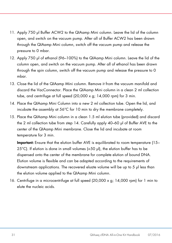- 11. Apply 750 µl Buffer ACW2 to the QIAamp Mini column. Leave the lid of the column open, and switch on the vacuum pump. After all of Buffer ACW2 has been drawn through the QIAamp Mini column, switch off the vacuum pump and release the pressure to 0 mbar.
- 12. Apply 750 µl of ethanol (96–100%) to the QIAamp Mini column. Leave the lid of the column open, and switch on the vacuum pump. After all of ethanol has been drawn through the spin column, switch off the vacuum pump and release the pressure to 0 mbar.
- 13. Close the lid of the QIAamp Mini column. Remove it from the vacuum manifold and discard the VacConnector. Place the QIAamp Mini column in a clean 2 ml collection tube, and centrifuge at full speed (20,000 x g; 14,000 rpm) for 3 min.
- 14. Place the QIAamp Mini Column into a new 2 ml collection tube. Open the lid, and incubate the assembly at 56°C for 10 min to dry the membrane completely.
- 15. Place the QIAamp Mini column in a clean 1.5 ml elution tube (provided) and discard the 2 ml collection tube from step 14. Carefully apply 40–60 µl of Buffer AVE to the center of the QIAamp Mini membrane. Close the lid and incubate at room temperature for 3 min.

Important: Ensure that the elution buffer AVE is equilibrated to room temperature (15– 25°C). If elution is done in small volumes (<50 µl), the elution buffer has to be dispensed onto the center of the membrane for complete elution of bound DNA. Elution volume is flexible and can be adapted according to the requirements of downstream applications. The recovered eluate volume will be up to 5 µl less than the elution volume applied to the QIAamp Mini column.

16. Centrifuge in a microcentrifuge at full speed (20,000 x g; 14,000 rpm) for 1 min to elute the nucleic acids.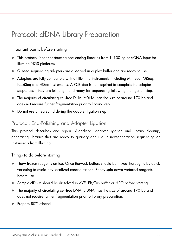# <span id="page-31-0"></span>Protocol: cfDNA Library Preparation

### Important points before starting

- This protocol is for constructing sequencing libraries from 1–100 ng of cfDNA input for Illumina NGS platforms.
- QIAseq sequencing adapters are dissolved in duplex buffer and are ready to use.
- Adapters are fully compatible with all Illumina instruments, including MiniSeq, MiSeq, NextSeq and HiSeq instruments. A PCR step is not required to complete the adapter sequences – they are full length and ready for sequencing following the ligation step.
- The majority of circulating cell-free DNA (cfDNA) has the size of around 170 bp and does not require further fragmentation prior to library step.
- Do not use a heated lid during the adapter ligation step.

### Protocol: End-Polishing and Adapter Ligation

This protocol describes end repair, A-addition, adapter ligation and library cleanup, generating libraries that are ready to quantify and use in next-generation sequencing on instruments from Illumina.

### Things to do before starting

- Thaw frozen reagents on ice. Once thawed, buffers should be mixed thoroughly by quick vortexing to avoid any localized concentrations. Briefly spin down vortexed reagents before use.
- Sample cfDNA should be dissolved in AVE, EB/Tris buffer or H2O before starting.
- The majority of circulating cell-free DNA (cfDNA) has the size of around 170 bp and does not require further fragmentation prior to library preparation.
- Prepare 80% ethanol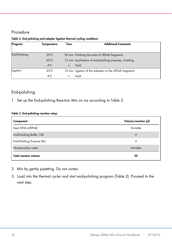### Procedure

| Program       | Temperature    | Time     | <b>Additional Comments</b>                              |  |
|---------------|----------------|----------|---------------------------------------------------------|--|
|               |                |          |                                                         |  |
| End-Polishing | $25^{\circ}$ C |          | 30 min Polishing the ends of cfDNA fragments            |  |
|               | $65^{\circ}$ C |          | 15 min Inactivation of end-polishing enzymes; A-tailing |  |
|               | $4^{\circ}$ C  | $\infty$ | Hold                                                    |  |
| Ligation      | $25^{\circ}$ C |          | 10 min Ligation of the adapters to the cfDNA fragments  |  |
|               | $4^{\circ}$ C  | $\infty$ | Hold                                                    |  |

#### Table 2. End-polishing and adapter ligation thermal cycling conditions

### End-polishing

1. Set up the End-polishing Reaction Mix on ice according to Table 3.

#### Table 3. End-polishing reaction setup

| Component                    | Volume/reaction (µl) |
|------------------------------|----------------------|
| Input DNA (cfDNA)            | Variable             |
| End-Polishing Buffer 10X     | 5                    |
| End-Polishing Enzyme Mix     | 2                    |
| Nuclease-free water          | Variable             |
| <b>Total reaction volume</b> | 50                   |

- 2. Mix by gently pipetting. Do not vortex.
- 3. Load into the thermal cycler and start end-polishing program (Table 2). Proceed to the next step.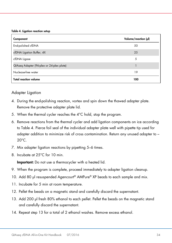#### Table 4. Ligation reaction setup

| Component                                 | Volume/reaction (µl) |
|-------------------------------------------|----------------------|
| End-polished cfDNA                        | 50                   |
| cfDNA Ligation Buffer, 4X                 | 25                   |
| cfDNA Ligase                              | 5                    |
| QIAseq Adapter (96-plex or 24-plex plate) |                      |
| Nuclease-free water                       | 19                   |
| <b>Total reaction volume</b>              | 100                  |

#### Adapter Ligation

- 4. During the end-polishing reaction, vortex and spin down the thawed adapter plate. Remove the protective adapter plate lid.
- 5. When the thermal cycler reaches the 4°C hold, stop the program.
- 6. Remove reactions from the thermal cycler and add ligation components on ice according to Table 4. Pierce foil seal of the individual adapter plate well with pipette tip used for adapter addition to minimize risk of cross contamination. Return any unused adapter to –  $20^{\circ}$ C.
- 7. Mix adapter ligation reactions by pipetting 5–6 times.
- 8. Incubate at 25°C for 10 min.

Important: Do not use a thermocycler with a heated lid.

- 9. When the program is complete, proceed immediately to adapter ligation cleanup.
- 10. Add 80 µl resuspended Agencourt® AMPure® XP beads to each sample and mix.
- 11. Incubate for 5 min at room temperature.
- 12. Pellet the beads on a magnetic stand and carefully discard the supernatant.
- 13. Add 200 µl fresh 80% ethanol to each pellet. Pellet the beads on the magnetic stand and carefully discard the supernatant.
- 14. Repeat step 13 for a total of 2 ethanol washes. Remove excess ethanol.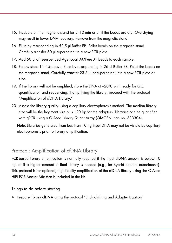- 15. Incubate on the magnetic stand for 5–10 min or until the beads are dry. Overdrying may result in lower DNA recovery. Remove from the magnetic stand.
- 16. Elute by resuspending in 52.5 µl Buffer EB. Pellet beads on the magnetic stand. Carefully transfer 50 µl supernatant to a new PCR plate.
- 17. Add 50 µl of resuspended Agencourt AMPure XP beads to each sample.
- 18. Follow steps 11–15 above. Elute by resuspending in 26 µl Buffer EB. Pellet the beads on the magnetic stand. Carefully transfer 23.5 µl of supernatant into a new PCR plate or tube.
- 19. If the library will not be amplified, store the DNA at –20°C until ready for QC, quantification and sequencing. If amplifying the library, proceed with the protocol "Amplification of cfDNA Library."
- 20. Assess the library quality using a capillary electrophoresis method. The median library size will be the fragment size plus 120 bp for the adapters. Libraries can be quantified with qPCR using a QIAseq Library Quant Array (QIAGEN, cat. no. 333304).

Note: Libraries generated from less than 10 ng input DNA may not be visible by capillary electrophoresis prior to library amplification.

## Protocol: Amplification of cfDNA Library

PCR-based library amplification is normally required if the input cfDNA amount is below 10 ng, or if a higher amount of final library is needed (e.g., for hybrid capture experiments). This protocol is for optional, high-fidelity amplification of the cfDNA library using the QIAseq HiFi PCR Master Mix that is included in the kit.

Things to do before starting

• Prepare library cfDNA using the protocol "End-Polishing and Adapter Ligation"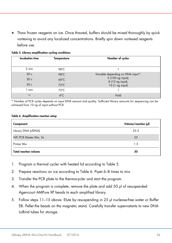Thaw frozen reagents on ice. Once thawed, buffers should be mixed thoroughly by quick vortexing to avoid any localized concentrations. Briefly spin down vortexed reagents before use.

| <b>Incubation time</b> | Temperature    | Number of cycles                      |
|------------------------|----------------|---------------------------------------|
|                        |                |                                       |
| 2 min                  | 98°C           |                                       |
| 20 <sub>s</sub>        | 98°C           | Variable depending on DNA input*:     |
| 30 <sub>s</sub>        | $60^{\circ}$ C | 5 (100 ng input);<br>8 (10 ng input); |
| 30 <sub>s</sub>        | $72^{\circ}$ C | $10(1$ ng input)                      |
| min                    | $72^{\circ}$ C |                                       |
| $\infty$               | $4^{\circ}$ C  | Hold                                  |

Table 5. Library amplification cycling conditions

\* Number of PCR cycles depends on input DNA amount and quality. Sufficient library amounts for sequencing can be achieved from 10 ng of input without PCR.

#### Table 6. Amplification reaction setup

| Component                    | Volume/reaction (µl) |
|------------------------------|----------------------|
| Library DNA (cfDNA)          | 23.5                 |
| HiFi PCR Master Mix, 2x      | 25                   |
| Primer Mix                   | 1.5                  |
| <b>Total reaction volume</b> | 50                   |

- 1. Program a thermal cycler with heated lid according to Table 5.
- 2. Prepare reactions on ice according to Table 6. Pipet 6–8 times to mix.
- 3. Transfer the PCR plate to the thermocycler and start the program.
- 4. When the program is complete, remove the plate and add 50 µl of resuspended Agencourt AMPure XP beads to each amplified library.
- 5. Follow steps 11–15 above. Elute by resuspending in 25 µl nuclease-free water or Buffer EB. Pellet the beads on the magnetic stand. Carefully transfer supernatants to new DNA LoBind tubes for storage.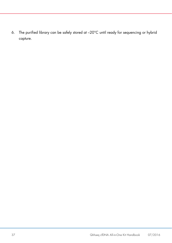6. The purified library can be safely stored at –20°C until ready for sequencing or hybrid capture.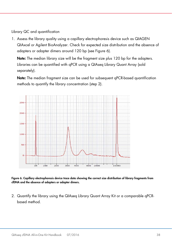Library QC and quantification

1. Assess the library quality using a capillary electrophoresis device such as QIAGEN QIAxcel or Agilent BioAnalyzer. Check for expected size distribution and the absence of adapters or adapter dimers around 120 bp (see Figure 6).

Note: The median library size will be the fragment size plus 120 bp for the adapters. Libraries can be quantified with qPCR using a QIAseq Library Quant Array (sold separately).

Note: The median fragment size can be used for subsequent qPCR-based quantification methods to quantify the library concentration (step 2).



Figure 6. Capillary electrophoresis device trace data showing the correct size distribution of library fragments from cfDNA and the absence of adapters or adapter dimers.

2. Quantify the library using the QIAseq Library Quant Array Kit or a comparable qPCRbased method.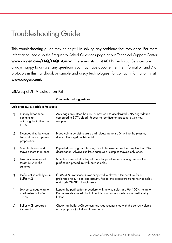# <span id="page-38-0"></span>Troubleshooting Guide

This troubleshooting guide may be helpful in solving any problems that may arise. For more information, see also the Frequently Asked Questions page at our Technical Support Center: www.qiagen.com/FAQ/FAQList.aspx. The scientists in QIAGEN Technical Services are always happy to answer any questions you may have about either the information and / or protocols in this handbook or sample and assay technologies (for contact information, visit [www.qiagen.com](http://www.qiagen.com/)).

#### QIAseq cfDNA Extraction Kit

Comments and suggestions

#### Little or no nucleic acids in the eluate

| a) | Primary blood tube<br>contains an<br>anticoagulant other than<br><b>EDTA</b> | Anticoagulants other than EDTA may lead to accelerated DNA degradation<br>compared to EDTA blood. Repeat the purification procedure with new<br>samples.                             |
|----|------------------------------------------------------------------------------|--------------------------------------------------------------------------------------------------------------------------------------------------------------------------------------|
| b) | Extended time between<br>blood draw and plasma<br>preparation                | Blood cells may disintegrate and release genomic DNA into the plasma,<br>diluting the target nucleic acid.                                                                           |
| c) | Samples frozen and<br>thawed more than once                                  | Repeated freezing and thawing should be avoided as this may lead to DNA<br>degradation. Always use fresh samples or samples thawed only once.                                        |
| d) | Low concentration of<br>target DNA in the<br>samples                         | Samples were left standing at room temperature for too long. Repeat the<br>purification procedure with new samples.                                                                  |
| e) | Inefficient sample lysis in<br><b>Buffer ACL</b>                             | If QIAGEN Proteinase K was subjected to elevated temperature for a<br>prolonged time, it can lose activity. Repeat the procedure using new samples<br>and fresh QIAGEN Proteinase K. |
| f) | Low-percentage ethanol<br>used instead of 96-<br>100%                        | Repeat the purification procedure with new samples and 96-100% ethanol.<br>Do not use denatured alcohol, which may contain methanol or methyl ethyl<br>ketone.                       |
| g) | Buffer ACB prepared<br>incorrectly                                           | Check that Buffer ACB concentrate was reconstituted with the correct volume<br>of isopropanol (not ethanol, see page 18).                                                            |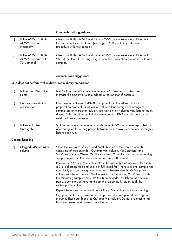#### Comments and suggestions

| h) | Buffer ACW1 or Buffer<br>ACW2 prepared<br>incorrectly      | Check that Buffer ACW1 and Buffer ACW2 concentrates were diluted with<br>the correct volume of ethanol (see page 19). Repeat the purification<br>procedure with new samples. |
|----|------------------------------------------------------------|------------------------------------------------------------------------------------------------------------------------------------------------------------------------------|
|    | Buffer ACW1 or Buffer<br>ACW2 prepared with<br>70% ethanol | Check that Buffer ACW1 and Buffer ACW2 concentrates were diluted with<br>96–100% ethanol (see page 19). Repeat the purification procedure with new<br>samples.               |

#### Comments and suggestions

#### DNA does not perform well in downstream library preparation

| a) | Little or no DNA in the<br>eluate    | See "Little or no nucleic acids in the eluate" above for possible reasons.<br>Increase the amount of eluate added to the reaction if possible.                                                                                                                                                                                                                                                                                                                                             |
|----|--------------------------------------|--------------------------------------------------------------------------------------------------------------------------------------------------------------------------------------------------------------------------------------------------------------------------------------------------------------------------------------------------------------------------------------------------------------------------------------------------------------------------------------------|
| b) | Inappropriate elution<br>volume used | Using elution volumes of 40-60µl is optimal for downstream library<br>preparation protocol. Small elution volumes lead to high percentage of<br>sample loss on extraction column, too high elution volumes may lead to highly<br>diluted DNA and thereby limit the percentage of DNA sample that can be<br>used for library generation.                                                                                                                                                    |
| c) | Buffers not mixed<br>thoroughly      | Salt and ethanol components of wash Buffer ACW2 may have separated out<br>after being left for a long period between runs. Always mix buffers thoroughly<br>before each run.                                                                                                                                                                                                                                                                                                               |
|    | General handling                     |                                                                                                                                                                                                                                                                                                                                                                                                                                                                                            |
| a) | Clogged QIAamp Mini<br>column        | Close the VacValve, if used, and carefully remove the whole assembly<br>consisting of tube extender, QIAamp Mini column, VacConnector and<br>VacValve from the QIAvac 24 Plus manifold. Carefully transfer the remaining<br>sample lysate from the tube extender to a new 50 ml tube.                                                                                                                                                                                                      |
|    |                                      | Remove the QIAamp Mini column from the assembly (see above), place it in<br>a 2 ml collection tube and spin it at full speed for 1 minute or until sample has<br>completely passed through the membrane. Re-assemble the QIAamp Mini<br>column with Tube Extender, VacConnector and (optional) VacValve. Transfer<br>the remaining sample lysate into the Tube Extender, switch on the vacuum<br>pump, open the VacValve, and pass the remaining lysate through the<br>QIAamp Mini column. |
|    |                                      | Repeat the above procedure if the QIAamp Mini column continues to clog.                                                                                                                                                                                                                                                                                                                                                                                                                    |
|    |                                      | Cryoprecipitates may have formed in plasma due to repeated freezing and<br>thawing. These can block the QIAamp Mini column. Do not use plasma that<br>has been frozen and thawed more than once.                                                                                                                                                                                                                                                                                           |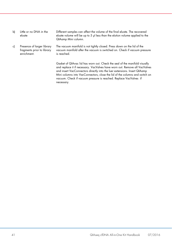- b) Little or no DNA in the eluate Different samples can affect the volume of the final eluate. The recovered eluate volume will be up to 5 µl less than the elution volume applied to the QIAamp Mini column.
- c) Presence of larger library fragments prior to library enrichment. The vacuum manifold is not tightly closed. Press down on the lid of the vacuum manifold after the vacuum is switched on. Check if vacuum pressure is reached.

Gasket of QIAvac lid has worn out. Check the seal of the manifold visually and replace it if necessary. VacValves have worn out. Remove all VacValves and insert VacConnectors directly into the luer extensions. Insert QIAamp Mini columns into VacConnectors, close the lid of the columns and switch on vacuum. Check if vacuum pressure is reached. Replace VacValves if necessary.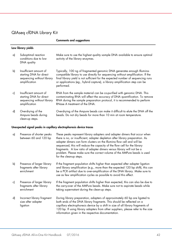### QIAseq cfDNA Library Kit

| Low library yields |                                                                                                  |                                                                                                                                                                                                                                                                                                                                           |  |  |  |  |  |  |
|--------------------|--------------------------------------------------------------------------------------------------|-------------------------------------------------------------------------------------------------------------------------------------------------------------------------------------------------------------------------------------------------------------------------------------------------------------------------------------------|--|--|--|--|--|--|
| a)                 | Suboptimal reaction<br>conditions due to low<br>DNA quality                                      | Make sure to use the highest quality sample DNA available to ensure optimal<br>activity of the library enzymes.                                                                                                                                                                                                                           |  |  |  |  |  |  |
| b)                 | Insufficient amount of<br>starting DNA for direct<br>sequencing without library<br>amplification | Typically, 100 ng of fragmented genomic DNA generates enough Illumina-<br>compatible library to use directly for sequencing without amplification. If the<br>final library yield is not sufficient for the expected number of sequencing runs<br>or applications (eg., hybrid capture), a library amplification step can be<br>performed. |  |  |  |  |  |  |
| c)                 | Insufficient amount of<br>starting DNA for direct<br>sequencing without library<br>amplification | RNA from the sample material can be co-purified with genomic DNA. This<br>contaminating RNA will affect the accuracy of DNA quantification. To remove<br>RNA during the sample preparation protocol, it is recommended to perform<br>RNase A treatment of the DNA.                                                                        |  |  |  |  |  |  |
| d)                 | Overdrying of the<br>Ampure beads during<br>clean-up steps.                                      | Overdrying of the Ampure beads can make it difficult to elute the DNA off the<br>beads. Do not dry beads for more than 10 min at room temperature.                                                                                                                                                                                        |  |  |  |  |  |  |

Comments and suggestions

#### Unexpected signal peaks in capillary electrophoresis device traces

| a) | Presence of shorter peaks<br>between 60 and 120 bp                  | These peaks represent library adapters and adapter dimers that occur when<br>there is no, or insufficient, adapter depletion after library preparation. As<br>adapter dimers can form clusters on the Illumina flow cell and will be<br>sequenced, this will reduce the capacity of the flow cell for the library<br>fragments. A low ratio of adapter dimers versus library will not be a<br>problem. Please make sure the correct volume of the AMPure beads is used<br>for the cleanup steps. |
|----|---------------------------------------------------------------------|--------------------------------------------------------------------------------------------------------------------------------------------------------------------------------------------------------------------------------------------------------------------------------------------------------------------------------------------------------------------------------------------------------------------------------------------------------------------------------------------------|
| b) | Presence of larger library<br>fragments after library<br>enrichment | If the fragment population shifts higher than expected after adapter ligation<br>and library amplification (e.g., more than the expected 120 bp shift), this can<br>be a PCR artifact due to over-amplification of the DNA library. Make sure to<br>use as few amplification cycles as possible to avoid this effect.                                                                                                                                                                            |
| c) | Presence of larger library<br>fragments after library<br>enrichment | If the fragment population shifts higher than expected, this can also be due to<br>the carry-over of the AMPure beads. Make sure not to aspirate beads while<br>taking supernatant during the clean-up steps.                                                                                                                                                                                                                                                                                    |
| d) | Incorrect library fragment<br>size after adapter<br>ligation        | During library preparation, adapters of approximately 60 bp are ligated to<br>both ends of the DNA library fragments. This should be reflected on a<br>capillary electrophoresis device by a shift in size of all library fragments of<br>120 bp. If using library adapters from other suppliers, please refer to the size<br>information given in the respective documentation.                                                                                                                 |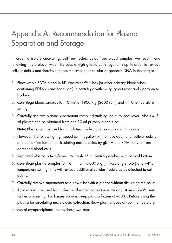# <span id="page-42-0"></span>Appendix A: Recommendation for Plasma Separation and Storage

In order to isolate circulating, cell-free nucleic acids from blood samples, we recommend following this protocol which includes a high g-force centrifugation step in order to remove cellular debris and thereby reduces the amount of cellular or genomic DNA in the sample.

- 1. Place whole EDTA blood in BD Vacutainer™ tubes (or other primary blood tubes containing EDTA as anti-coagulant) in centrifuge with swinging-out rotor and appropriate buckets.
- 2. Centrifuge blood samples for 10 min at 1900 x q  $[3000$  rpm] and  $+4^{\circ}$ C temperature setting.
- 3. Carefully aspirate plasma supernatant without disturbing the buffy coat layer. About 4–5 ml plasma can be obtained from one 10 ml primary blood tube.

Note: Plasma can be used for circulating nucleic acid extraction at this stage.

- 4. However, the following high-speed centrifugation will remove additional cellular debris and contamination of the circulating nucleic acids by gDNA and RNA derived from damaged blood cells.
- 5. Aspirated plasma is transferred into fresh 15 ml centrifuge tubes with conical bottom.
- 6. Centrifuge plasma samples for 10 min at  $16,000 \times q$  [in fixed-angle rotor] and  $+4^{\circ}C$ temperature setting. This will remove additional cellular nucleic acids attached to cell debris.
- 7. Carefully remove supernatant to a new tube with a pipette without disturbing the pellet.
- 8. If plasma will be used for nucleic acid extraction on the same day, store at 2–8°C until further processing. For longer storage, keep plasma frozen at –80°C. Before using the plasma for circulating nucleic acid extraction, thaw plasma tubes at room temperature.

In case of cryoprecipitates, follow these two steps: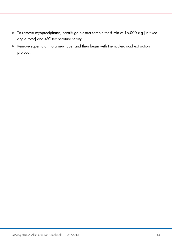- To remove cryoprecipitates, centrifuge plasma sample for 5 min at 16,000 x g [in fixed angle rotor] and 4°C temperature setting.
- Remove supernatant to a new tube, and then begin with the nucleic acid extraction protocol.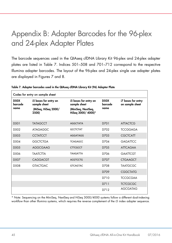# <span id="page-44-0"></span>Appendix B: Adapter Barcodes for the 96-plex and 24-plex Adapter Plates

The barcode sequences used in the QIAseq cfDNA Library Kit 96-plex and 24-plex adapter plates are listed in Table 7. Indices 501–508 and 701–712 correspond to the respective Illumina adapter barcodes. The layout of the 96-plex and 24-plex single use adapter plates are displayed in Figures 7 and 8.

| Codes for entry on sample sheet |                                                                       |                                                                                  |                         |                                       |  |  |  |  |  |
|---------------------------------|-----------------------------------------------------------------------|----------------------------------------------------------------------------------|-------------------------|---------------------------------------|--|--|--|--|--|
| <b>D50X</b><br>barcode<br>name  | i5 bases for entry on<br>sample sheet<br>(MiSeq, HiSeq 2000/<br>2500) | i5 bases for entry on<br>sample sheet<br>(MiniSeg, NextSeg,<br>HiSeq 3000/4000)* | D50X<br>barcode<br>name | i7 bases for entry<br>on sample sheet |  |  |  |  |  |
| D <sub>50</sub> 1               | <b>TATAGCCT</b>                                                       | <b>AGGCTATA</b>                                                                  | D701                    | <b>ATTACTCG</b>                       |  |  |  |  |  |
| D.502                           | ATAGAGGC                                                              | <b>GCCTCTAT</b>                                                                  | D702                    | <b>TCCGGAGA</b>                       |  |  |  |  |  |
| D <sub>503</sub>                | <b>CCTATCCT</b>                                                       | AGGATAGG                                                                         | D703                    | <b>CGCTCATT</b>                       |  |  |  |  |  |
| D <sub>504</sub>                | <b>GGCTCTGA</b>                                                       | <b>TCAGAGCC</b>                                                                  | D704                    | <b>GAGATTCC</b>                       |  |  |  |  |  |
| D <sub>505</sub>                | <b>AGGCGAAG</b>                                                       | <b>CTTCGCCT</b>                                                                  | D705                    | <b>ATTCAGAA</b>                       |  |  |  |  |  |
| D <sub>506</sub>                | <b>TAATCTTA</b>                                                       | <b>TAAGATTA</b>                                                                  | D706                    | <b>GAATTCGT</b>                       |  |  |  |  |  |
| D <sub>50</sub> 7               | CAGGACGT                                                              | <b>ACGTCCTG</b>                                                                  | D707                    | <b>CTGAAGCT</b>                       |  |  |  |  |  |
| D <sub>508</sub>                | <b>GTACTGAC</b>                                                       | <b>GTCAGTAC</b>                                                                  | D708                    | <b>TAATGCGC</b>                       |  |  |  |  |  |
|                                 |                                                                       |                                                                                  | D709                    | <b>CGGCTATG</b>                       |  |  |  |  |  |
|                                 |                                                                       |                                                                                  | D710                    | <b>TCCGCGAA</b>                       |  |  |  |  |  |
|                                 |                                                                       |                                                                                  | D711                    | <b>TCTCGCGC</b>                       |  |  |  |  |  |
|                                 |                                                                       |                                                                                  | D712                    | <b>AGCGATAG</b>                       |  |  |  |  |  |

Table 7. Adapter barcodes used in the QIAseq cfDNA Library Kit (96) Adapter Plate

\* Note: Sequencing on the MiniSeq, NextSeq and HiSeq 3000/4000 systems follow a different dual-indexing workflow than other Illumina systems, which requires the reverse complement of the i5 index adapter sequence.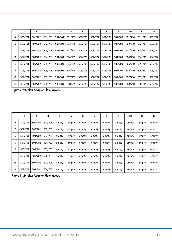|   | 1       | 2       | з       | 4       | 5       | 6       | 7       | 8       | 9       | 10      | 11      | 12      |
|---|---------|---------|---------|---------|---------|---------|---------|---------|---------|---------|---------|---------|
| А | 501/701 | 501/702 | 501/703 | 501/704 | 501/705 | 501/706 | 501/707 | 501/708 | 501/709 | 501/710 | 501/711 | 501/712 |
| B | 502/701 | 502/702 | 502/703 | 502/704 | 502/705 | 502/706 | 502/707 | 502/708 | 502/709 | 502/710 | 502/711 | 502/712 |
| C | 503/701 | 503/702 | 503/703 | 503/704 | 503/705 | 503/706 | 503/707 | 503/708 | 503/709 | 503/710 | 503/711 | 503/712 |
| D | 504/701 | 504/702 | 504/703 | 504/704 | 504/705 | 504/706 | 504/707 | 504/708 | 504/709 | 504/710 | 504/711 | 504/712 |
| E | 505/701 | 505/702 | 505/703 | 505/704 | 505/705 | 505/706 | 505/707 | 505/708 | 505/709 | 505/710 | 505/711 | 505/712 |
| F | 506/701 | 506/702 | 506/703 | 506/704 | 506/705 | 506/706 | 506/707 | 506/708 | 506/709 | 506/710 | 506/711 | 506/712 |
| G | 507/701 | 507/702 | 507/703 | 507/704 | 507/705 | 507/706 | 507/707 | 507/708 | 507/709 | 507/710 | 507/711 | 507/712 |
| н | 508/701 | 508/702 | 508/703 | 508/704 | 508/705 | 508/706 | 508/707 | 508/708 | 508/709 | 508/710 | 508/711 | 508/712 |

Figure 7. 96-plex Adapter Plate layout.

|   | 1       | 2       | з       | 4     | 5     | 6     | 7     | 8     | 9     | 10    | 11    | 12    |
|---|---------|---------|---------|-------|-------|-------|-------|-------|-------|-------|-------|-------|
| А | 501/701 | 501/702 | 501/703 | empty | empty | empty | empty | empty | empty | empty | empty | empty |
| В | 502/701 | 502/702 | 502/703 | empty | empty | empty | empty | empty | empty | empty | empty | empty |
| c | 503/701 | 503/702 | 503/703 | empty | empty | empty | empty | empty | empty | empty | empty | empty |
| D | 504/701 | 504/702 | 504/703 | empty | empty | empty | empty | empty | empty | empty | empty | empty |
| E | 505/701 | 505/702 | 505/703 | empty | empty | empty | empty | empty | empty | empty | empty | empty |
| F | 506/701 | 506/702 | 506/703 | empty | empty | empty | empty | empty | empty | empty | empty | empty |
| G | 507/701 | 507/702 | 507/703 | empty | empty | empty | empty | empty | empty | empty | empty | empty |
| н | 508/701 | 508/702 | 508/703 | empty | empty | empty | empty | empty | empty | empty | empty | empty |

Figure 8: 24-plex Adapter Plate layout.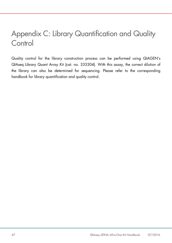# <span id="page-46-0"></span>Appendix C: Library Quantification and Quality **Control**

Quality control for the library construction process can be performed using QIAGEN's QIAseq Library Quant Array Kit (cat. no. 333304). With this assay, the correct dilution of the library can also be determined for sequencing. Please refer to the corresponding handbook for library quantification and quality control.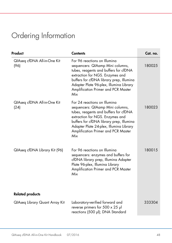# <span id="page-47-0"></span>Ordering Information

| Product                             | <b>Contents</b>                                                                                                                                                                                                                                                                   | Cat. no. |
|-------------------------------------|-----------------------------------------------------------------------------------------------------------------------------------------------------------------------------------------------------------------------------------------------------------------------------------|----------|
| QIAseq cfDNA All-in-One Kit<br>(96) | For 96 reactions on Illumina<br>sequencers: QIAamp Mini columns,<br>tubes, reagents and buffers for cfDNA<br>extraction for NGS. Enzymes and<br>buffers for cfDNA library prep, Illumina<br>Adapter Plate 96-plex, Illumina Library<br>Amplification Primer and PCR Master<br>Mix | 180025   |
| QIAseq cfDNA All-in-One Kit<br>(24) | For 24 reactions on Illumina<br>sequencers: QIAamp Mini columns,<br>tubes, reagents and buffers for cfDNA<br>extraction for NGS. Enzymes and<br>buffers for cfDNA library prep, Illumina<br>Adapter Plate 24-plex, Illumina Library<br>Amplification Primer and PCR Master<br>Mix | 180023   |
| QIAseq cfDNA Library Kit (96)       | For 96 reactions on Illumina<br>sequencers: enzymes and buffers for<br>cfDNA library prep, Illumina Adapter<br>Plate 96-plex, Illumina Library<br>Amplification Primer and PCR Master<br>Mix                                                                                      | 180015   |
| <b>Related products</b>             |                                                                                                                                                                                                                                                                                   |          |
| QIAseq Library Quant Array Kit      | Laboratory-verified forward and<br>reverse primers for $500 \times 25$ µl<br>reactions (500 µl); DNA Standard                                                                                                                                                                     | 333304   |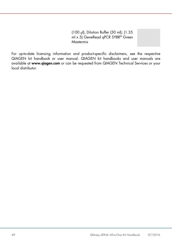(100 µl); Dilution Buffer (30 ml); (1.35 ml x 5) GeneRead qPCR SYBR<sup>®</sup> Green Mastermix

For up-to-date licensing information and product-specific disclaimers, see the respective QIAGEN kit handbook or user manual. QIAGEN kit handbooks and user manuals are available at [www.qiagen.com](http://www.qiagen.com/) or can be requested from QIAGEN Technical Services or your local distributor.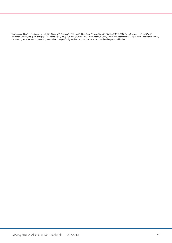Trademarks: QIAGEN®, Sample to Insight®, QIAseq™, QIAamp®, QIAxpert®, GeneRead™, MagAttract®, MinElute® (QIAGEN Group); Agencourt®, AMPure®<br>(Beckman Coulter, Inc.): Agilent® (Agilent Technologies, Inc.); Illumina® (Illumin